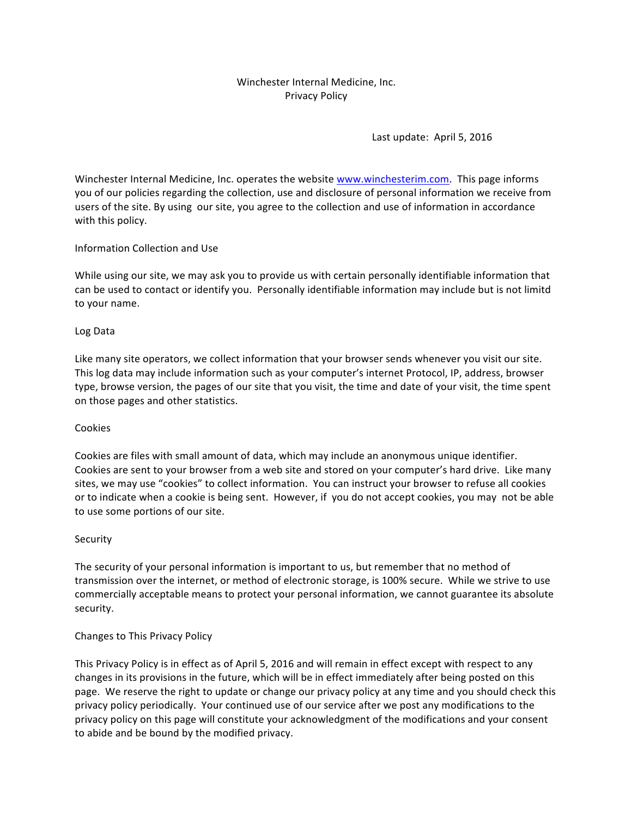## Winchester Internal Medicine, Inc. Privacy Policy

Last update: April 5, 2016

Winchester Internal Medicine, Inc. operates the website www.winchesterim.com. This page informs you of our policies regarding the collection, use and disclosure of personal information we receive from users of the site. By using our site, you agree to the collection and use of information in accordance with this policy.

### Information Collection and Use

While using our site, we may ask you to provide us with certain personally identifiable information that can be used to contact or identify you. Personally identifiable information may include but is not limitd to your name.

### Log Data

Like many site operators, we collect information that your browser sends whenever you visit our site. This log data may include information such as your computer's internet Protocol, IP, address, browser type, browse version, the pages of our site that you visit, the time and date of your visit, the time spent on those pages and other statistics.

### Cookies

Cookies are files with small amount of data, which may include an anonymous unique identifier. Cookies are sent to your browser from a web site and stored on your computer's hard drive. Like many sites, we may use "cookies" to collect information. You can instruct your browser to refuse all cookies or to indicate when a cookie is being sent. However, if you do not accept cookies, you may not be able to use some portions of our site.

### Security

The security of your personal information is important to us, but remember that no method of transmission over the internet, or method of electronic storage, is 100% secure. While we strive to use commercially acceptable means to protect your personal information, we cannot guarantee its absolute security.

### Changes to This Privacy Policy

This Privacy Policy is in effect as of April 5, 2016 and will remain in effect except with respect to any changes in its provisions in the future, which will be in effect immediately after being posted on this page. We reserve the right to update or change our privacy policy at any time and you should check this privacy policy periodically. Your continued use of our service after we post any modifications to the privacy policy on this page will constitute your acknowledgment of the modifications and your consent to abide and be bound by the modified privacy.